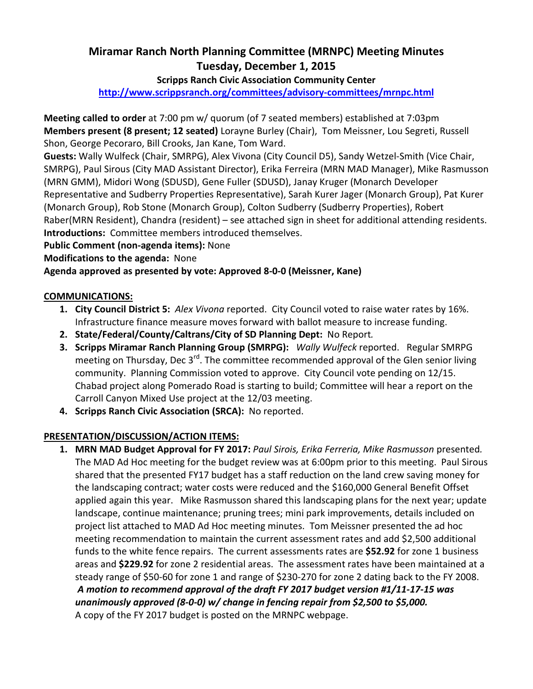### **Miramar Ranch North Planning Committee (MRNPC) Meeting Minutes Tuesday, December 1, 2015**

#### **Scripps Ranch Civic Association Community Center**

**http://www.scrippsranch.org/committees/advisory-committees/mrnpc.html**

**Meeting called to order** at 7:00 pm w/ quorum (of 7 seated members) established at 7:03pm **Members present (8 present; 12 seated)** Lorayne Burley (Chair), Tom Meissner, Lou Segreti, Russell Shon, George Pecoraro, Bill Crooks, Jan Kane, Tom Ward.

**Guests:** Wally Wulfeck (Chair, SMRPG), Alex Vivona (City Council D5), Sandy Wetzel-Smith (Vice Chair, SMRPG), Paul Sirous (City MAD Assistant Director), Erika Ferreira (MRN MAD Manager), Mike Rasmusson (MRN GMM), Midori Wong (SDUSD), Gene Fuller (SDUSD), Janay Kruger (Monarch Developer Representative and Sudberry Properties Representative), Sarah Kurer Jager (Monarch Group), Pat Kurer (Monarch Group), Rob Stone (Monarch Group), Colton Sudberry (Sudberry Properties), Robert Raber(MRN Resident), Chandra (resident) – see attached sign in sheet for additional attending residents. **Introductions:** Committee members introduced themselves.

**Public Comment (non-agenda items):** None

**Modifications to the agenda:** None

**Agenda approved as presented by vote: Approved 8-0-0 (Meissner, Kane)** 

#### **COMMUNICATIONS:**

- **1. City Council District 5:** *Alex Vivona* reported. City Council voted to raise water rates by 16%. Infrastructure finance measure moves forward with ballot measure to increase funding.
- **2. State/Federal/County/Caltrans/City of SD Planning Dept:** No Report*.*
- **3. Scripps Miramar Ranch Planning Group (SMRPG):** *Wally Wulfeck* reported. Regular SMRPG meeting on Thursday, Dec 3<sup>rd</sup>. The committee recommended approval of the Glen senior living community. Planning Commission voted to approve. City Council vote pending on 12/15. Chabad project along Pomerado Road is starting to build; Committee will hear a report on the Carroll Canyon Mixed Use project at the 12/03 meeting.
- **4. Scripps Ranch Civic Association (SRCA):** No reported.

#### **PRESENTATION/DISCUSSION/ACTION ITEMS:**

**1. MRN MAD Budget Approval for FY 2017:** *Paul Sirois, Erika Ferreria, Mike Rasmusson* presented*.*  The MAD Ad Hoc meeting for the budget review was at 6:00pm prior to this meeting. Paul Sirous shared that the presented FY17 budget has a staff reduction on the land crew saving money for the landscaping contract; water costs were reduced and the \$160,000 General Benefit Offset applied again this year. Mike Rasmusson shared this landscaping plans for the next year; update landscape, continue maintenance; pruning trees; mini park improvements, details included on project list attached to MAD Ad Hoc meeting minutes. Tom Meissner presented the ad hoc meeting recommendation to maintain the current assessment rates and add \$2,500 additional funds to the white fence repairs. The current assessments rates are **\$52.92** for zone 1 business areas and **\$229.92** for zone 2 residential areas. The assessment rates have been maintained at a steady range of \$50-60 for zone 1 and range of \$230-270 for zone 2 dating back to the FY 2008. *A motion to recommend approval of the draft FY 2017 budget version #1/11-17-15 was unanimously approved (8-0-0) w/ change in fencing repair from \$2,500 to \$5,000.* A copy of the FY 2017 budget is posted on the MRNPC webpage.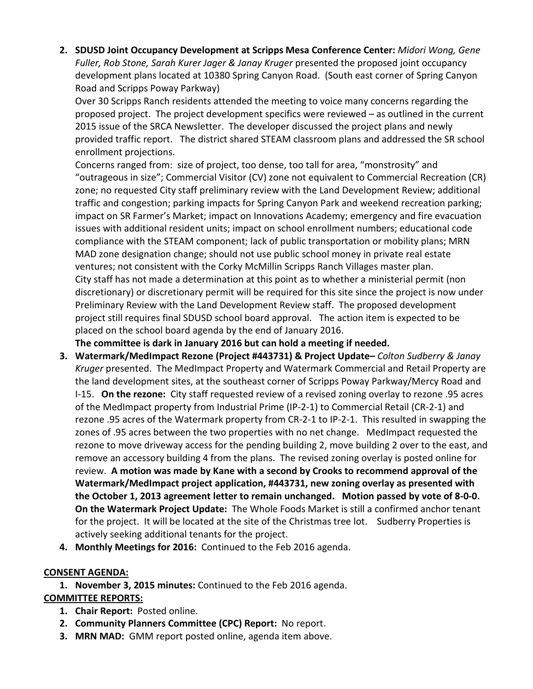**2. SDUSD Joint Occupancy Development at Scripps Mesa Conference Center:** *Midori Wong, Gene Fuller, Rob Stone, Sarah Kurer Jager & Janay Kruger* presented the proposed joint occupancy development plans located at 10380 Spring Canyon Road. (South east corner of Spring Canyon Road and Scripps Poway Parkway)

Over 30 Scripps Ranch residents attended the meeting to voice many concerns regarding the proposed project. The project development specifics were reviewed – as outlined in the current 2015 issue of the SRCA Newsletter. The developer discussed the project plans and newly provided traffic report. The district shared STEAM classroom plans and addressed the SR school enrollment projections.

Concerns ranged from: size of project, too dense, too tall for area, "monstrosity" and "outrageous in size"; Commercial Visitor (CV) zone not equivalent to Commercial Recreation (CR) zone; no requested City staff preliminary review with the Land Development Review; additional traffic and congestion; parking impacts for Spring Canyon Park and weekend recreation parking; impact on SR Farmer's Market; impact on Innovations Academy; emergency and fire evacuation issues with additional resident units; impact on school enrollment numbers; educational code compliance with the STEAM component; lack of public transportation or mobility plans; MRN MAD zone designation change; should not use public school money in private real estate ventures; not consistent with the Corky McMillin Scripps Ranch Villages master plan. City staff has not made a determination at this point as to whether a ministerial permit (non discretionary) or discretionary permit will be required for this site since the project is now under Preliminary Review with the Land Development Review staff. The proposed development project still requires final SDUSD school board approval. The action item is expected to be placed on the school board agenda by the end of January 2016.

**The committee is dark in January 2016 but can hold a meeting if needed.** 

- **3. Watermark/MedImpact Rezone (Project #443731) & Project Update–** *Colton Sudberry & Janay Kruger* presented. The MedImpact Property and Watermark Commercial and Retail Property are the land development sites, at the southeast corner of Scripps Poway Parkway/Mercy Road and I-15. **On the rezone:** City staff requested review of a revised zoning overlay to rezone .95 acres of the MedImpact property from Industrial Prime (IP-2-1) to Commercial Retail (CR-2-1) and rezone .95 acres of the Watermark property from CR-2-1 to IP-2-1. This resulted in swapping the zones of .95 acres between the two properties with no net change. MedImpact requested the rezone to move driveway access for the pending building 2, move building 2 over to the east, and remove an accessory building 4 from the plans. The revised zoning overlay is posted online for review. **A motion was made by Kane with a second by Crooks to recommend approval of the Watermark/MedImpact project application, #443731, new zoning overlay as presented with the October 1, 2013 agreement letter to remain unchanged. Motion passed by vote of 8-0-0. On the Watermark Project Update:** The Whole Foods Market is still a confirmed anchor tenant for the project. It will be located at the site of the Christmas tree lot. Sudberry Properties is actively seeking additional tenants for the project.
- **4. Monthly Meetings for 2016:** Continued to the Feb 2016 agenda.

#### **CONSENT AGENDA:**

**1. November 3, 2015 minutes:** Continued to the Feb 2016 agenda. **COMMITTEE REPORTS:**

- **1. Chair Report:** Posted online.
- **2. Community Planners Committee (CPC) Report:** No report.
- **3. MRN MAD:** GMM report posted online, agenda item above.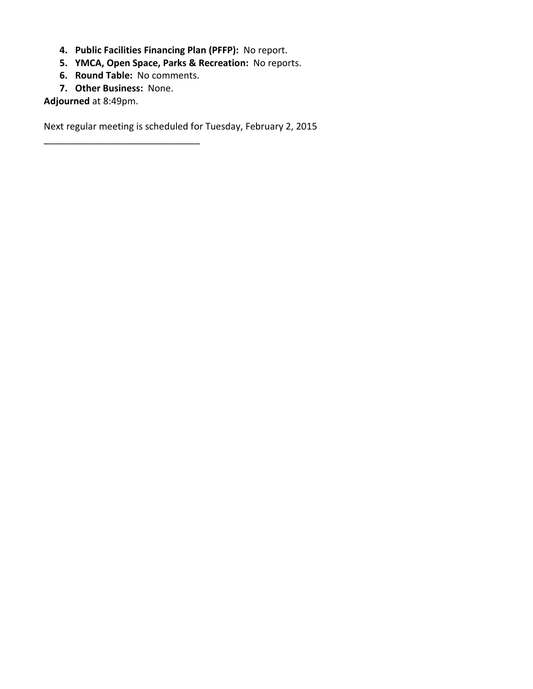- **4. Public Facilities Financing Plan (PFFP):** No report.
- **5. YMCA, Open Space, Parks & Recreation:** No reports.
- **6. Round Table:** No comments.
- **7. Other Business:** None.

\_\_\_\_\_\_\_\_\_\_\_\_\_\_\_\_\_\_\_\_\_\_\_\_\_\_\_\_\_\_

**Adjourned** at 8:49pm.

Next regular meeting is scheduled for Tuesday, February 2, 2015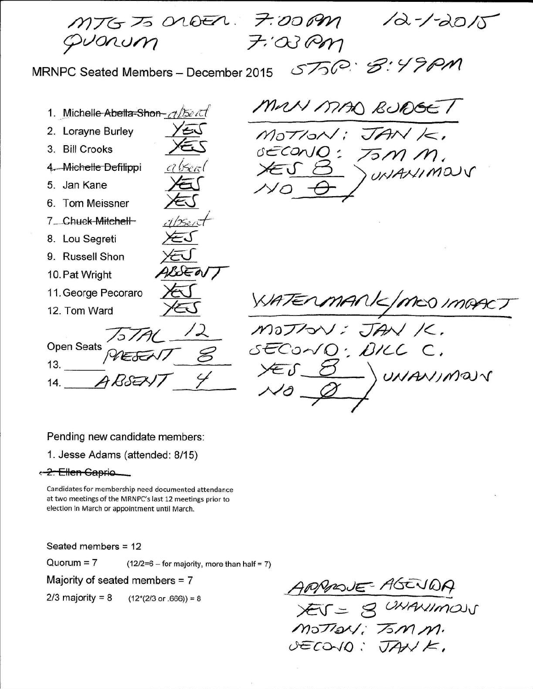MTGTS ORDER. 7:00PM  $72 - 7 - 2015$  $7.03$ Pm vonum ST50: 8:4 MRNPC Seated Members - December 2015 MAN MAD BUDGE / 1. Michelle Abella-Shon- also it 2. Lorayne Burley  $M$ o $T$ /o $\wedge$  $JAN$ 3. Bill Crooks  $GECONO:$ 4. Michelle Defilippi WANIMOUS 5. Jan Kane 6. Tom Meissner 7\_Chuck-Mitchell-8. Lou Segreti 9. Russell Shon USENT 10. Pat Wright 11. George Pecoraro ANK/MED IMAACT 12. Tom Ward JANK. MOTION **Open Seats** SECONO, BILL C.  $13.$ UNANIMOUV  $14.$ 

Pending new candidate members:

1. Jesse Adams (attended: 8/15)

< 2. Ellen Gaprio

Candidates for membership need documented attendance at two meetings of the MRNPC's last 12 meetings prior to election in March or appointment until March.

Seated members = 12

 $Quorum = 7$  $(12/2=6 -$  for majority, more than half = 7)

Majority of seated members = 7

 $2/3$  majority = 8  $(12*(2/3 \text{ or } .666)) = 8$ 

ARMOUE  $XY = 8$ UNAVIMOUS  $MSTay: T5M$ DECOVO: JANK.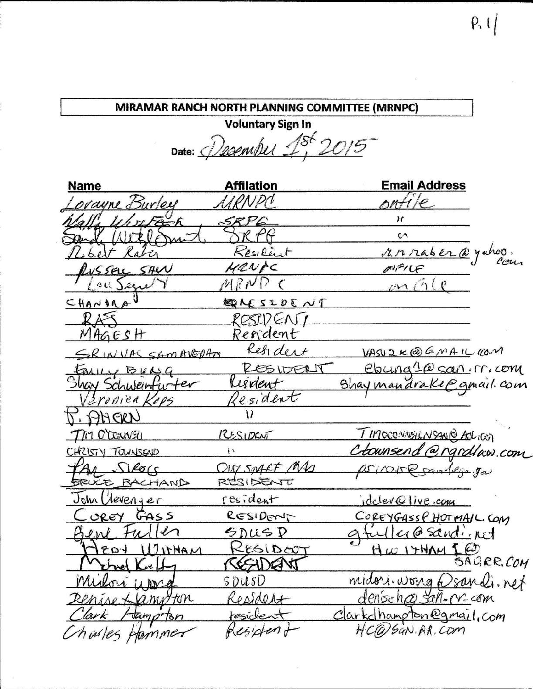### MIRAMAR RANCH NORTH PLANNING COMMITTEE (MRNPC)

**Voluntary Sign In** Date: December 1st 2015

| <b>Name</b>                       | <b>Affilation</b>       | <b>Email Address</b>                   |
|-----------------------------------|-------------------------|----------------------------------------|
| orayne Burley                     | RRNPC                   | ontile                                 |
| Whitech                           | SRP6                    | ١c                                     |
| Withm                             | TR PP                   | $\mathsf{C}\wedge$                     |
| Ribert Raber                      | Resilint                | 17. 12 raber @ yahoo.                  |
| RUSSELL SAW                       | HRNAC                   |                                        |
| Lou Segrer                        | MRNPC                   | mG(e)                                  |
| CHANDRA                           | DU JOLE NE              |                                        |
| RAS                               | RESEIDENT               |                                        |
| MAGESH                            | Resident                |                                        |
| SRINVAS SAMAVEDAM                 | Resident                | VASU2K@GMAILKON                        |
| FALLY BULG                        | RESIDENT                | ebung 10 san. m. com                   |
| Shay Schweinfurter                | Risdent                 | Shaymandrake@gmail.com                 |
| <i><u><u>Sranica Kops</u></u></i> | Resident                |                                        |
| L' BHERT                          |                         |                                        |
| TIM O'CONNELL                     | RESIDENT                | <u><i>TIMOCONNSILNSANO ACLICOT</i></u> |
| CHRISTY TOUNSEND                  | $\overline{\mathbf{1}}$ | Ctownsend @rgrdlaw.com                 |
| PAI SIROGS                        | CITY SPAFF MAS          | psirone sandego ga                     |
| <b>SRUCE BACHAND</b>              | RESIDENT                |                                        |
| John Clevenger                    | resident                | idclev@live.com                        |
| <u>Corey</u> GASS                 | RESIDENT                | COREYGASS (HOTMAIL.COM                 |
| Bene Fuller                       | SDUSP                   | afuller@sandinet                       |
| MAHTICU FOST                      | RESIDENT                | Hw1HMMI@                               |
| Vernel Kreft                      | CEEDENT                 | SAURR.COM                              |
| Milori upra                       | <u>SDUSD</u>            | midori.wong @sandi.net                 |
| Renise + anoton                   | Resident                | denise has san-m-com                   |
| lark<br>Jamp Bn                   | resident                | Clarkdhampton@gmail.com                |
| hister Hammer                     | Residend                | HC@SaN.RR.Com                          |